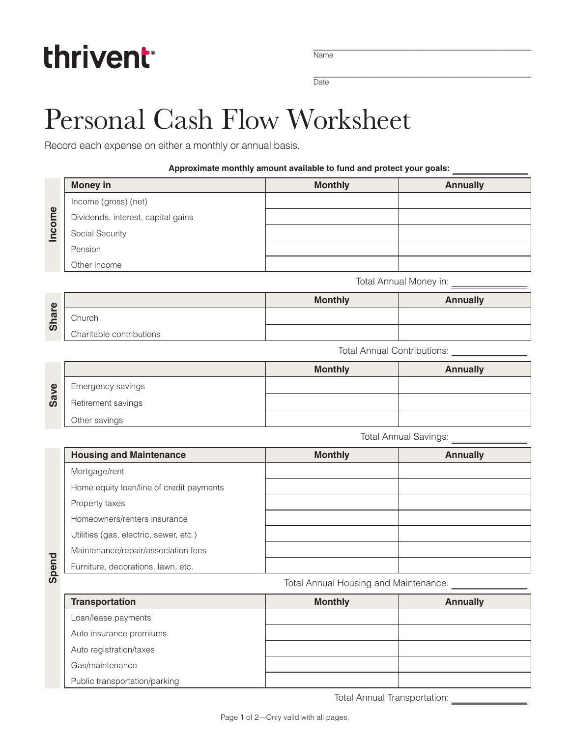## thrivent

\_\_\_\_\_\_\_\_\_\_\_\_\_\_\_\_\_\_\_\_\_\_\_\_\_\_\_\_\_\_\_\_\_\_\_\_\_\_\_\_\_\_\_ Name

\_\_\_\_\_\_\_\_\_\_\_\_\_\_\_\_\_\_\_\_\_\_\_\_\_\_\_\_\_\_\_\_\_\_\_\_\_\_\_\_\_\_\_ Date

## Personal Cash Flow Worksheet

Record each expense on either a monthly or annual basis.

## **Approximate monthly amount available to fund and protect your goals:**

|        | <b>Money in</b>                          | <b>Monthly</b>                        | <b>Annually</b> |  |
|--------|------------------------------------------|---------------------------------------|-----------------|--|
| Income | Income (gross) (net)                     |                                       |                 |  |
|        | Dividends, interest, capital gains       |                                       |                 |  |
|        | Social Security                          |                                       |                 |  |
|        | Pension                                  |                                       |                 |  |
|        | Other income                             |                                       |                 |  |
|        |                                          | Total Annual Money in: 1997 1998      |                 |  |
|        |                                          | <b>Monthly</b>                        | <b>Annually</b> |  |
| Share  | Church                                   |                                       |                 |  |
|        | Charitable contributions                 |                                       |                 |  |
|        |                                          | Total Annual Contributions: _______   |                 |  |
|        |                                          | <b>Monthly</b>                        | <b>Annually</b> |  |
|        | Emergency savings                        |                                       |                 |  |
| Save   | Retirement savings                       |                                       |                 |  |
|        | Other savings                            |                                       |                 |  |
|        |                                          | <b>Total Annual Savings:</b>          |                 |  |
|        | <b>Housing and Maintenance</b>           | <b>Monthly</b>                        | <b>Annually</b> |  |
|        | Mortgage/rent                            |                                       |                 |  |
|        | Home equity loan/line of credit payments |                                       |                 |  |
|        | Property taxes                           |                                       |                 |  |
|        | Homeowners/renters insurance             |                                       |                 |  |
|        | Utilities (gas, electric, sewer, etc.)   |                                       |                 |  |
| Spend  | Maintenance/repair/association fees      |                                       |                 |  |
|        | Furniture, decorations, lawn, etc.       |                                       |                 |  |
|        |                                          | Total Annual Housing and Maintenance: |                 |  |

| $\bigoplus$<br>$\boldsymbol{\varpi}$<br>ᅩ<br><u>ທ</u> |                          | <b>Monthly</b> | <b>Annually</b> |
|-------------------------------------------------------|--------------------------|----------------|-----------------|
|                                                       | Church                   |                |                 |
|                                                       | Charitable contributions |                |                 |

| $\mathbf{\Omega}$<br>Sav |                    | <b>Monthly</b> | <b>Annually</b> |
|--------------------------|--------------------|----------------|-----------------|
|                          | Emergency savings  |                |                 |
|                          | Retirement savings |                |                 |
|                          | Other savings      |                |                 |

| <b>Housing and Maintenance</b>           | <b>Monthly</b> | <b>Annually</b> |
|------------------------------------------|----------------|-----------------|
| Mortgage/rent                            |                |                 |
| Home equity loan/line of credit payments |                |                 |
| Property taxes                           |                |                 |
| Homeowners/renters insurance             |                |                 |
| Utilities (gas, electric, sewer, etc.)   |                |                 |
| Maintenance/repair/association fees      |                |                 |
| Furniture, decorations, lawn, etc.       |                |                 |

Spend

Total Annual Housing and Maintenance:

| <b>Transportation</b>         | <b>Monthly</b> | <b>Annually</b> |
|-------------------------------|----------------|-----------------|
| Loan/lease payments           |                |                 |
| Auto insurance premiums       |                |                 |
| Auto registration/taxes       |                |                 |
| Gas/maintenance               |                |                 |
| Public transportation/parking |                |                 |

Total Annual Transportation: \_\_\_\_\_\_\_\_\_\_\_\_\_\_